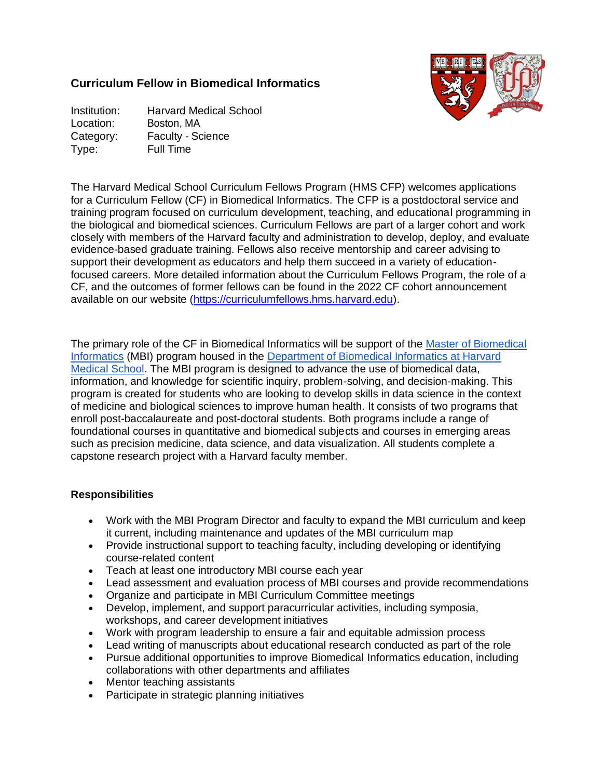# **Curriculum Fellow in Biomedical Informatics**



Institution: Harvard Medical School Location: Boston, MA Category: Faculty - Science Type: Full Time

The Harvard Medical School Curriculum Fellows Program (HMS CFP) welcomes applications for a Curriculum Fellow (CF) in Biomedical Informatics. The CFP is a postdoctoral service and training program focused on curriculum development, teaching, and educational programming in the biological and biomedical sciences. Curriculum Fellows are part of a larger cohort and work closely with members of the Harvard faculty and administration to develop, deploy, and evaluate evidence-based graduate training. Fellows also receive mentorship and career advising to support their development as educators and help them succeed in a variety of educationfocused careers. More detailed information about the Curriculum Fellows Program, the role of a CF, and the outcomes of former fellows can be found in the 2022 CF cohort announcement available on our website [\(https://curriculumfellows.hms.harvard.edu\)](https://curriculumfellows.hms.harvard.edu/).

The primary role of the CF in Biomedical Informatics will be support of the [Master of Biomedical](https://dbmi.hms.harvard.edu/education/master-biomedical-informatics)  [Informatics](https://dbmi.hms.harvard.edu/education/master-biomedical-informatics) (MBI) program housed in the [Department of Biomedical Informatics at Harvard](https://dbmi.hms.harvard.edu/)  [Medical School.](https://dbmi.hms.harvard.edu/) The MBI program is designed to advance the use of biomedical data, information, and knowledge for scientific inquiry, problem-solving, and decision-making. This program is created for students who are looking to develop skills in data science in the context of medicine and biological sciences to improve human health. It consists of two programs that enroll post-baccalaureate and post-doctoral students. Both programs include a range of foundational courses in quantitative and biomedical subjects and courses in emerging areas such as precision medicine, data science, and data visualization. All students complete a capstone research project with a Harvard faculty member.

## **Responsibilities**

- Work with the MBI Program Director and faculty to expand the MBI curriculum and keep it current, including maintenance and updates of the MBI curriculum map
- Provide instructional support to teaching faculty, including developing or identifying course-related content
- Teach at least one introductory MBI course each year
- Lead assessment and evaluation process of MBI courses and provide recommendations
- Organize and participate in MBI Curriculum Committee meetings
- Develop, implement, and support paracurricular activities, including symposia, workshops, and career development initiatives
- Work with program leadership to ensure a fair and equitable admission process
- Lead writing of manuscripts about educational research conducted as part of the role
- Pursue additional opportunities to improve Biomedical Informatics education, including collaborations with other departments and affiliates
- Mentor teaching assistants
- Participate in strategic planning initiatives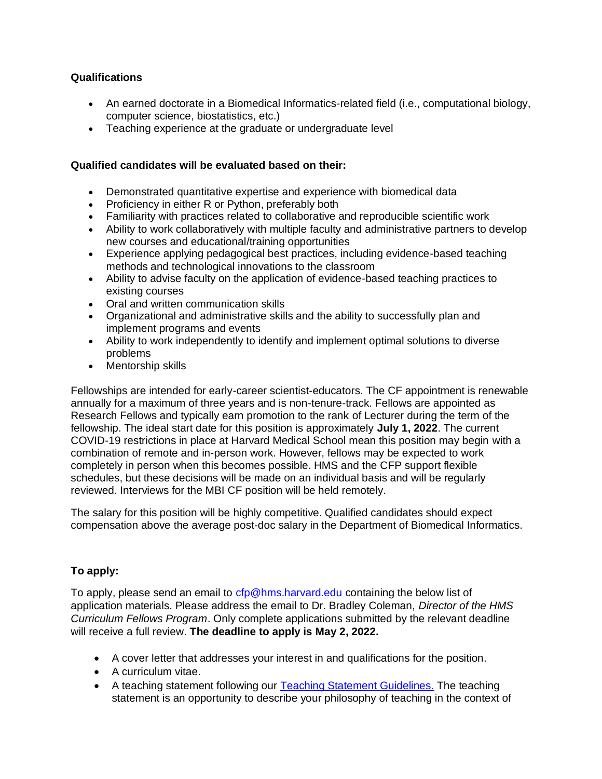### **Qualifications**

- An earned doctorate in a Biomedical Informatics-related field (i.e., computational biology, computer science, biostatistics, etc.)
- Teaching experience at the graduate or undergraduate level

### **Qualified candidates will be evaluated based on their:**

- Demonstrated quantitative expertise and experience with biomedical data
- Proficiency in either R or Python, preferably both
- Familiarity with practices related to collaborative and reproducible scientific work
- Ability to work collaboratively with multiple faculty and administrative partners to develop new courses and educational/training opportunities
- Experience applying pedagogical best practices, including evidence-based teaching methods and technological innovations to the classroom
- Ability to advise faculty on the application of evidence-based teaching practices to existing courses
- Oral and written communication skills
- Organizational and administrative skills and the ability to successfully plan and implement programs and events
- Ability to work independently to identify and implement optimal solutions to diverse problems
- Mentorship skills

Fellowships are intended for early-career scientist-educators. The CF appointment is renewable annually for a maximum of three years and is non-tenure-track. Fellows are appointed as Research Fellows and typically earn promotion to the rank of Lecturer during the term of the fellowship. The ideal start date for this position is approximately **July 1, 2022**. The current COVID-19 restrictions in place at Harvard Medical School mean this position may begin with a combination of remote and in-person work. However, fellows may be expected to work completely in person when this becomes possible. HMS and the CFP support flexible schedules, but these decisions will be made on an individual basis and will be regularly reviewed. Interviews for the MBI CF position will be held remotely.

The salary for this position will be highly competitive. Qualified candidates should expect compensation above the average post-doc salary in the Department of Biomedical Informatics.

## **To apply:**

To apply, please send an email to [cfp@hms.harvard.edu](mailto:cfp@hms.harvard.edu) containing the below list of application materials. Please address the email to Dr. Bradley Coleman, *Director of the HMS Curriculum Fellows Program*. Only complete applications submitted by the relevant deadline will receive a full review. **The deadline to apply is May 2, 2022.**

- A cover letter that addresses your interest in and qualifications for the position.
- A curriculum vitae.
- A teaching statement following our [Teaching Statement Guidelines.](https://curriculumfellows.hms.harvard.edu/teaching-statement-guidelines) The teaching statement is an opportunity to describe your philosophy of teaching in the context of